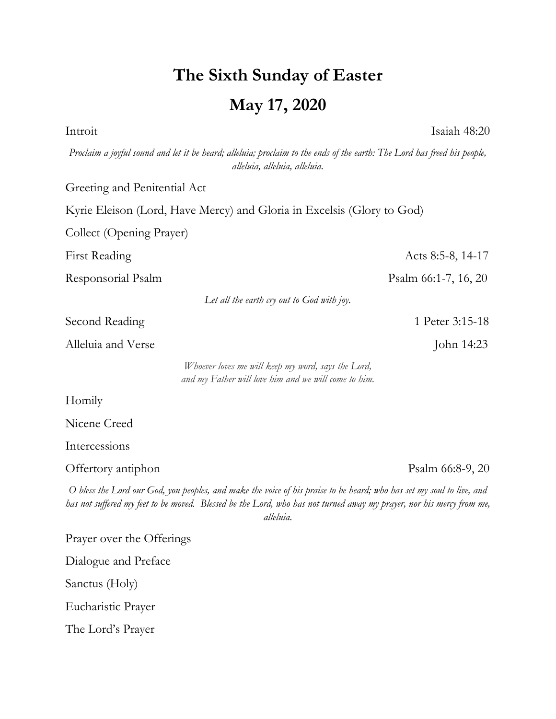## **The Sixth Sunday of Easter May 17, 2020**

Introit Isaiah 48:20

*Proclaim a joyful sound and let it be heard; alleluia; proclaim to the ends of the earth: The Lord has freed his people, alleluia, alleluia, alleluia.* Greeting and Penitential Act Kyrie Eleison (Lord, Have Mercy) and Gloria in Excelsis (Glory to God) Collect (Opening Prayer) First Reading Acts 8:5-8, 14-17 Responsorial Psalm **Psalm** 66:1-7, 16, 20 *Let all the earth cry out to God with joy.* Second Reading 1 Peter 3:15-18 Alleluia and Verse John 14:23 *Whoever loves me will keep my word, says the Lord, and my Father will love him and we will come to him.* Homily Nicene Creed Intercessions Offertory antiphon Psalm 66:8-9, 20 *O bless the Lord our God, you peoples, and make the voice of his praise to be heard; who has set my soul to live, and has not suffered my feet to be moved. Blessed be the Lord, who has not turned away my prayer, nor his mercy from me, alleluia.* Prayer over the Offerings Dialogue and Preface Sanctus (Holy)

Eucharistic Prayer

The Lord's Prayer